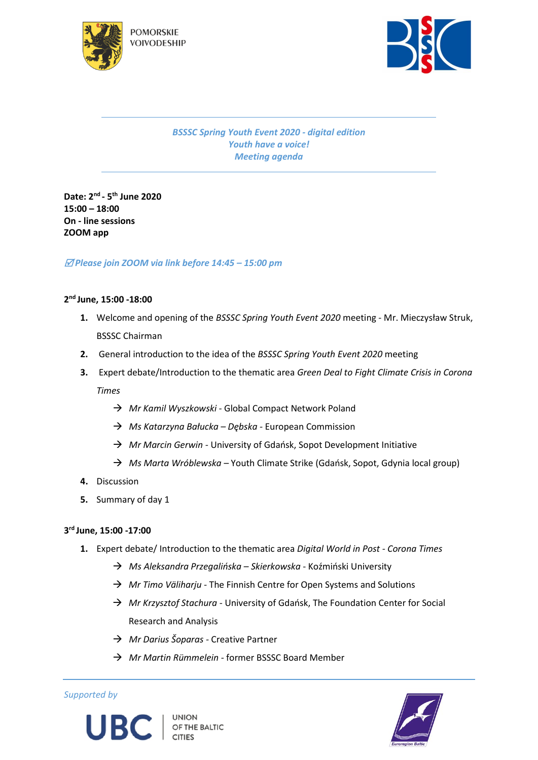



*BSSSC Spring Youth Event 2020 - digital edition Youth have a voice! Meeting agenda*

**Date: 2nd - 5 th June 2020 15:00 – 18:00 On - line sessions ZOOM app**

# *Please join ZOOM via link before 14:45 – 15:00 pm*

# **2 nd June, 15:00 -18:00**

- **1.** Welcome and opening of the *BSSSC Spring Youth Event 2020* meeting Mr. Mieczysław Struk, BSSSC Chairman
- **2.** General introduction to the idea of the *BSSSC Spring Youth Event 2020* meeting
- **3.** Expert debate/Introduction to the thematic area *Green Deal to Fight Climate Crisis in Corona Times*
	- *Mr Kamil Wyszkowski -* Global Compact Network Poland
	- *Ms Katarzyna Bałucka – Dębska -* European Commission
	- *Mr Marcin Gerwin -* University of Gdańsk, Sopot Development Initiative
	- *Ms Marta Wróblewska –* Youth Climate Strike (Gdańsk, Sopot, Gdynia local group)
- **4.** Discussion
- **5.** Summary of day 1

#### **3 rd June, 15:00 -17:00**

- **1.** Expert debate/ Introduction to the thematic area *Digital World in Post - Corona Times*
	- *Ms Aleksandra Przegalińska – Skierkowska*  Koźmiński University
	- → *Mr Timo Väliharju -* The Finnish Centre for Open Systems and Solutions
	- → *Mr Krzysztof Stachura* University of Gdańsk, The Foundation Center for Social Research and Analysis
	- *Mr Darius Šoparas -* Creative Partner
	- *Mr Martin Rümmelein -* former BSSSC Board Member

*Supported by*